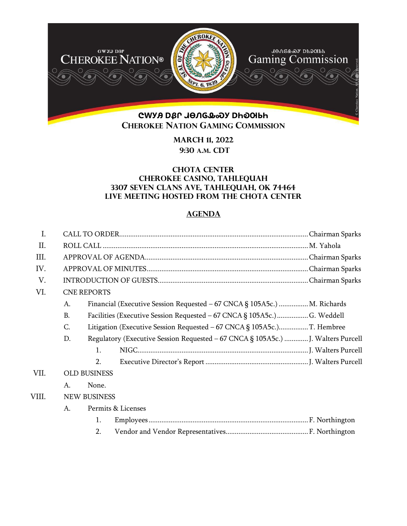

**March 11, 2022 9:30 A.M. CDT** 

## **Chota Center Cherokee Casino, Tahlequah 3307 Seven Clans Ave, Tahlequah, OK 74464 Live meeting hosted from the Chota Center**

## **AGENDA**

| $\mathbf{I}$ . |           |                                                                                  |  |
|----------------|-----------|----------------------------------------------------------------------------------|--|
| Π.             |           |                                                                                  |  |
| III.           |           |                                                                                  |  |
| IV.            |           |                                                                                  |  |
| V.             |           |                                                                                  |  |
| VI.            |           | <b>CNE REPORTS</b>                                                               |  |
|                | A.        | Financial (Executive Session Requested – 67 CNCA § 105A5c.)  M. Richards         |  |
|                | <b>B.</b> | Facilities (Executive Session Requested - 67 CNCA § 105A5c.)G. Weddell           |  |
|                | C.        |                                                                                  |  |
|                | D.        | Regulatory (Executive Session Requested - 67 CNCA § 105A5c.)  J. Walters Purcell |  |
|                |           | $\mathbf{1}$ .                                                                   |  |
|                |           | 2.                                                                               |  |
| VII.           |           | <b>OLD BUSINESS</b>                                                              |  |
|                | A.        | None.                                                                            |  |
| VIII.          |           | <b>NEW BUSINESS</b>                                                              |  |
|                | A.        | Permits & Licenses                                                               |  |
|                |           | 1.                                                                               |  |
|                |           | 2.                                                                               |  |